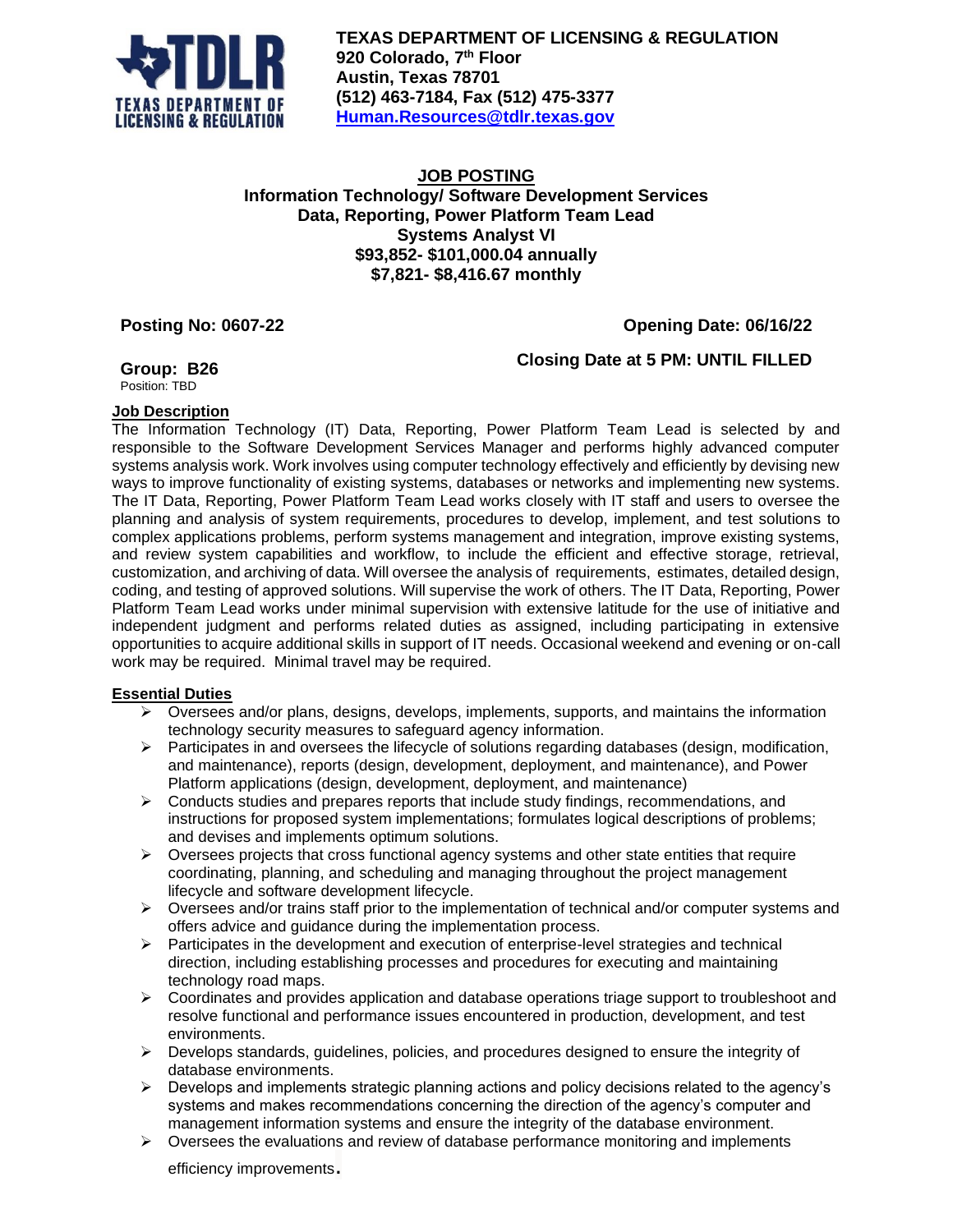

**TEXAS DEPARTMENT OF LICENSING & REGULATION 920 Colorado, 7 th Floor Austin, Texas 78701 (512) 463-7184, Fax (512) 475-3377 [Human.Resources@tdlr.texas.gov](mailto:Human.Resources@tdlr.texas.gov)**

## **JOB POSTING Information Technology/ Software Development Services Data, Reporting, Power Platform Team Lead Systems Analyst VI \$93,852- \$101,000.04 annually \$7,821- \$8,416.67 monthly**

# **Posting No: 0607-22 Opening Date: 06/16/22**

**Closing Date at 5 PM: UNTIL FILLED**

**Group: B26**

Position: TBD

## **Job Description**

The Information Technology (IT) Data, Reporting, Power Platform Team Lead is selected by and responsible to the Software Development Services Manager and performs highly advanced computer systems analysis work. Work involves using computer technology effectively and efficiently by devising new ways to improve functionality of existing systems, databases or networks and implementing new systems. The IT Data, Reporting, Power Platform Team Lead works closely with IT staff and users to oversee the planning and analysis of system requirements, procedures to develop, implement, and test solutions to complex applications problems, perform systems management and integration, improve existing systems, and review system capabilities and workflow, to include the efficient and effective storage, retrieval, customization, and archiving of data. Will oversee the analysis of requirements, estimates, detailed design, coding, and testing of approved solutions. Will supervise the work of others. The IT Data, Reporting, Power Platform Team Lead works under minimal supervision with extensive latitude for the use of initiative and independent judgment and performs related duties as assigned, including participating in extensive opportunities to acquire additional skills in support of IT needs. Occasional weekend and evening or on-call work may be required. Minimal travel may be required.

## **Essential Duties**

- $\triangleright$  Oversees and/or plans, designs, develops, implements, supports, and maintains the information technology security measures to safeguard agency information.
- $\triangleright$  Participates in and oversees the lifecycle of solutions regarding databases (design, modification, and maintenance), reports (design, development, deployment, and maintenance), and Power Platform applications (design, development, deployment, and maintenance)
- $\triangleright$  Conducts studies and prepares reports that include study findings, recommendations, and instructions for proposed system implementations; formulates logical descriptions of problems; and devises and implements optimum solutions.
- ➢ Oversees projects that cross functional agency systems and other state entities that require coordinating, planning, and scheduling and managing throughout the project management lifecycle and software development lifecycle.
- ➢ Oversees and/or trains staff prior to the implementation of technical and/or computer systems and offers advice and guidance during the implementation process.
- ➢ Participates in the development and execution of enterprise-level strategies and technical direction, including establishing processes and procedures for executing and maintaining technology road maps.
- $\triangleright$  Coordinates and provides application and database operations triage support to troubleshoot and resolve functional and performance issues encountered in production, development, and test environments.
- $\triangleright$  Develops standards, guidelines, policies, and procedures designed to ensure the integrity of database environments.
- $\triangleright$  Develops and implements strategic planning actions and policy decisions related to the agency's systems and makes recommendations concerning the direction of the agency's computer and management information systems and ensure the integrity of the database environment.
- $\triangleright$  Oversees the evaluations and review of database performance monitoring and implements

efficiency improvements.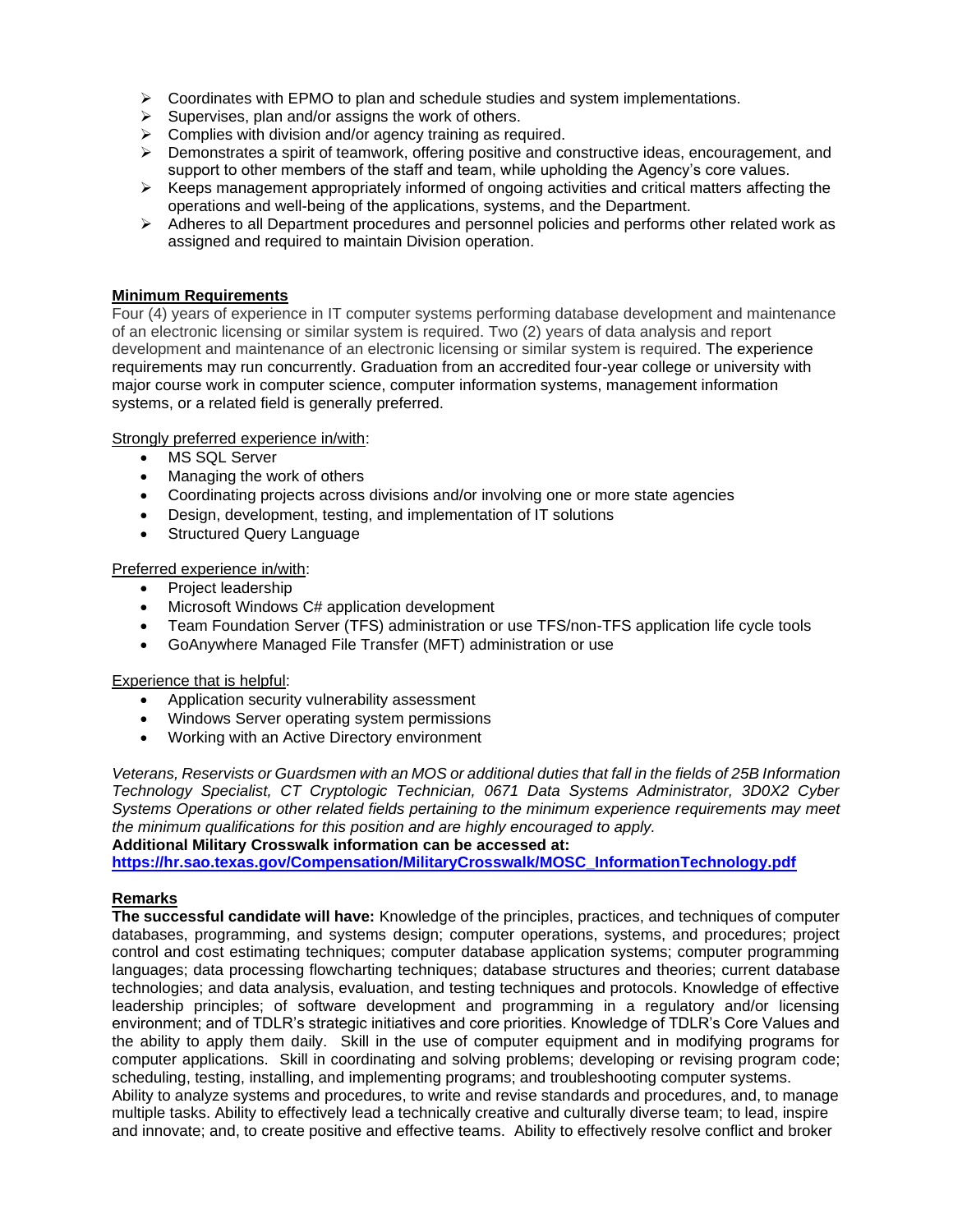- $\triangleright$  Coordinates with EPMO to plan and schedule studies and system implementations.
- $\triangleright$  Supervises, plan and/or assigns the work of others.
- $\triangleright$  Complies with division and/or agency training as required.
- ➢ Demonstrates a spirit of teamwork, offering positive and constructive ideas, encouragement, and support to other members of the staff and team, while upholding the Agency's core values.
- ➢ Keeps management appropriately informed of ongoing activities and critical matters affecting the operations and well-being of the applications, systems, and the Department.
- $\triangleright$  Adheres to all Department procedures and personnel policies and performs other related work as assigned and required to maintain Division operation.

### **Minimum Requirements**

Four (4) years of experience in IT computer systems performing database development and maintenance of an electronic licensing or similar system is required. Two (2) years of data analysis and report development and maintenance of an electronic licensing or similar system is required. The experience requirements may run concurrently. Graduation from an accredited four-year college or university with major course work in computer science, computer information systems, management information systems, or a related field is generally preferred.

### Strongly preferred experience in/with:

- MS SQL Server
- Managing the work of others
- Coordinating projects across divisions and/or involving one or more state agencies
- Design, development, testing, and implementation of IT solutions
- Structured Query Language

### Preferred experience in/with:

- Project leadership
- Microsoft Windows C# application development
- Team Foundation Server (TFS) administration or use TFS/non-TFS application life cycle tools
- GoAnywhere Managed File Transfer (MFT) administration or use

### Experience that is helpful:

- Application security vulnerability assessment
- Windows Server operating system permissions
- Working with an Active Directory environment

*Veterans, Reservists or Guardsmen with an MOS or additional duties that fall in the fields of 25B Information Technology Specialist, CT Cryptologic Technician, 0671 Data Systems Administrator, 3D0X2 Cyber Systems Operations or other related fields pertaining to the minimum experience requirements may meet the minimum qualifications for this position and are highly encouraged to apply.* 

**Additional Military Crosswalk information can be accessed at:**

**[https://hr.sao.texas.gov/Compensation/MilitaryCrosswalk/MOSC\\_InformationTechnology.pdf](https://hr.sao.texas.gov/Compensation/MilitaryCrosswalk/MOSC_InformationTechnology.pdf)**

### **Remarks**

**The successful candidate will have:** Knowledge of the principles, practices, and techniques of computer databases, programming, and systems design; computer operations, systems, and procedures; project control and cost estimating techniques; computer database application systems; computer programming languages; data processing flowcharting techniques; database structures and theories; current database technologies; and data analysis, evaluation, and testing techniques and protocols. Knowledge of effective leadership principles; of software development and programming in a regulatory and/or licensing environment; and of TDLR's strategic initiatives and core priorities. Knowledge of TDLR's Core Values and the ability to apply them daily. Skill in the use of computer equipment and in modifying programs for computer applications. Skill in coordinating and solving problems; developing or revising program code; scheduling, testing, installing, and implementing programs; and troubleshooting computer systems. Ability to analyze systems and procedures, to write and revise standards and procedures, and, to manage multiple tasks. Ability to effectively lead a technically creative and culturally diverse team; to lead, inspire and innovate; and, to create positive and effective teams. Ability to effectively resolve conflict and broker